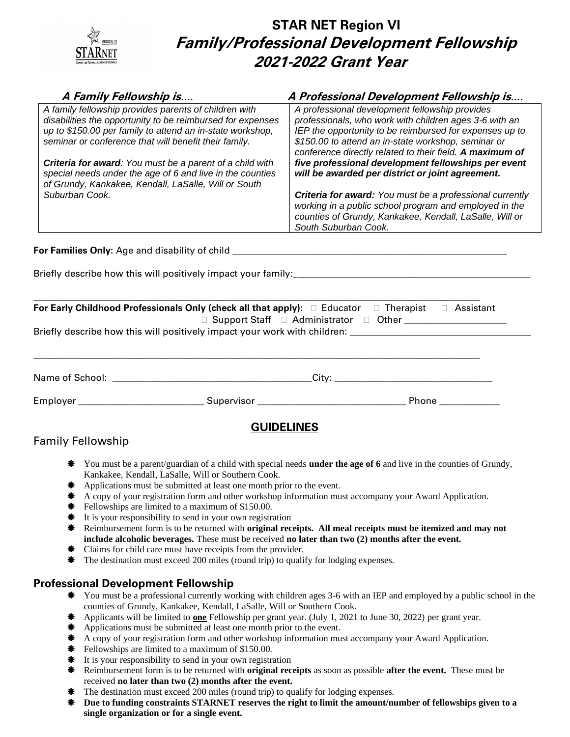# **STAR NET Region VI Family/Professional Development Fellowship 2021-2022 Grant Year**

| A Family Fellowship is                                                                                            | A Professional Development Fellowship is                        |  |  |
|-------------------------------------------------------------------------------------------------------------------|-----------------------------------------------------------------|--|--|
| A family fellowship provides parents of children with                                                             | A professional development fellowship provides                  |  |  |
| disabilities the opportunity to be reimbursed for expenses                                                        | professionals, who work with children ages 3-6 with an          |  |  |
| up to \$150.00 per family to attend an in-state workshop,                                                         | IEP the opportunity to be reimbursed for expenses up to         |  |  |
| seminar or conference that will benefit their family.                                                             | \$150.00 to attend an in-state workshop, seminar or             |  |  |
|                                                                                                                   | conference directly related to their field. A maximum of        |  |  |
| <b>Criteria for award:</b> You must be a parent of a child with                                                   | five professional development fellowships per event             |  |  |
| special needs under the age of 6 and live in the counties<br>of Grundy, Kankakee, Kendall, LaSalle, Will or South | will be awarded per district or joint agreement.                |  |  |
| Suburban Cook.                                                                                                    | <b>Criteria for award:</b> You must be a professional currently |  |  |
|                                                                                                                   | working in a public school program and employed in the          |  |  |
|                                                                                                                   | counties of Grundy, Kankakee, Kendall, LaSalle, Will or         |  |  |
|                                                                                                                   | South Suburban Cook.                                            |  |  |
|                                                                                                                   |                                                                 |  |  |
| For Families Only: Age and disability of child                                                                    |                                                                 |  |  |
|                                                                                                                   |                                                                 |  |  |
| Briefly describe how this will positively impact your family:_                                                    |                                                                 |  |  |
|                                                                                                                   |                                                                 |  |  |

| For Early Childhood Professionals Only (check all that apply): $\Box$ Educator $\Box$ Therapist $\Box$ Assistant<br>□ Support Staff □ Administrator □ Other <u>______________</u> ______ |  |                                                                                                                |
|------------------------------------------------------------------------------------------------------------------------------------------------------------------------------------------|--|----------------------------------------------------------------------------------------------------------------|
|                                                                                                                                                                                          |  |                                                                                                                |
|                                                                                                                                                                                          |  |                                                                                                                |
|                                                                                                                                                                                          |  |                                                                                                                |
|                                                                                                                                                                                          |  |                                                                                                                |
| Employer <b>Employer</b> Supervisor                                                                                                                                                      |  | Phone the control of the control of the control of the control of the control of the control of the control of |

#### **GUIDELINES**

### Family Fellowship

- You must be a parent/guardian of a child with special needs **under the age of 6** and live in the counties of Grundy, Kankakee, Kendall, LaSalle, Will or Southern Cook.
- \* Applications must be submitted at least one month prior to the event.
- \* A copy of your registration form and other workshop information must accompany your Award Application.
- **\*** Fellowships are limited to a maximum of \$150.00.
- **\*** It is your responsibility to send in your own registration
- Reimbursement form is to be returned with **original receipts. All meal receipts must be itemized and may not include alcoholic beverages.** These must be received **no later than two (2) months after the event.**
- \* Claims for child care must have receipts from the provider.
- The destination must exceed 200 miles (round trip) to qualify for lodging expenses.

#### **Professional Development Fellowship**

- You must be a professional currently working with children ages 3-6 with an IEP and employed by a public school in the counties of Grundy, Kankakee, Kendall, LaSalle, Will or Southern Cook.
- Applicants will be limited to **one** Fellowship per grant year. (July 1, 2021 to June 30, 2022) per grant year.
- \* Applications must be submitted at least one month prior to the event.
- \* A copy of your registration form and other workshop information must accompany your Award Application.
- **\*** Fellowships are limited to a maximum of \$150.00.
- **\*** It is your responsibility to send in your own registration
- Reimbursement form is to be returned with **original receipts** as soon as possible **after the event.** These must be received **no later than two (2) months after the event.**
- The destination must exceed 200 miles (round trip) to qualify for lodging expenses.
- **Due to funding constraints STARNET reserves the right to limit the amount/number of fellowships given to a single organization or for a single event.**